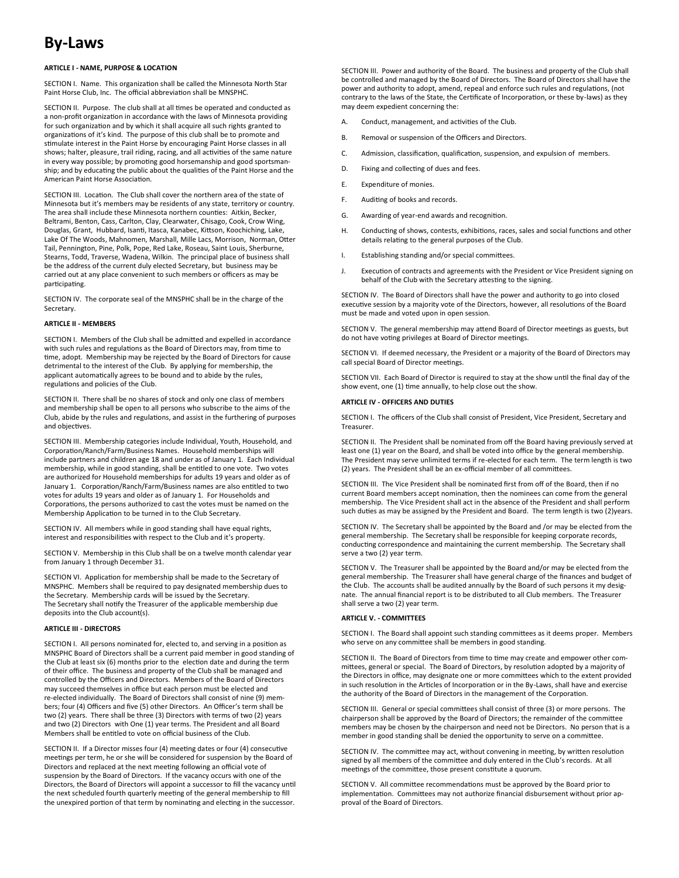# **By-Laws**

# **ARTICLE I - NAME, PURPOSE & LOCATION**

SECTION I. Name. This organization shall be called the Minnesota North Star Paint Horse Club, Inc. The official abbreviation shall be MNSPHC.

SECTION II. Purpose. The club shall at all times be operated and conducted as a non-profit organization in accordance with the laws of Minnesota providing for such organization and by which it shall acquire all such rights granted to organizations of it's kind. The purpose of this club shall be to promote and stimulate interest in the Paint Horse by encouraging Paint Horse classes in all shows; halter, pleasure, trail riding, racing, and all activities of the same nature in every way possible; by promoting good horsemanship and good sportsmanship; and by educating the public about the qualities of the Paint Horse and the American Paint Horse Association.

SECTION III. Location. The Club shall cover the northern area of the state of Minnesota but it's members may be residents of any state, territory or country. The area shall include these Minnesota northern counties: Aitkin, Becker, Beltrami, Benton, Cass, Carlton, Clay, Clearwater, Chisago, Cook, Crow Wing, Douglas, Grant, Hubbard, Isanti, Itasca, Kanabec, Kittson, Koochiching, Lake, Lake Of The Woods, Mahnomen, Marshall, Mille Lacs, Morrison, Norman, Otter Tail, Pennington, Pine, Polk, Pope, Red Lake, Roseau, Saint Louis, Sherburne, Stearns, Todd, Traverse, Wadena, Wilkin. The principal place of business shall be the address of the current duly elected Secretary, but business may be carried out at any place convenient to such members or officers as may be participating.

SECTION IV. The corporate seal of the MNSPHC shall be in the charge of the Secretary.

### **ARTICLE II - MEMBERS**

SECTION I. Members of the Club shall be admitted and expelled in accordance with such rules and regulations as the Board of Directors may, from time to time, adopt. Membership may be rejected by the Board of Directors for cause detrimental to the interest of the Club. By applying for membership, the applicant automatically agrees to be bound and to abide by the rules, regulations and policies of the Club.

SECTION II. There shall be no shares of stock and only one class of members and membership shall be open to all persons who subscribe to the aims of the Club, abide by the rules and regulations, and assist in the furthering of purposes and objectives.

SECTION III. Membership categories include Individual, Youth, Household, and Corporation/Ranch/Farm/Business Names. Household memberships will include partners and children age 18 and under as of January 1. Each Individual membership, while in good standing, shall be entitled to one vote. Two votes are authorized for Household memberships for adults 19 years and older as of January 1. Corporation/Ranch/Farm/Business names are also entitled to two votes for adults 19 years and older as of January 1. For Households and Corporations, the persons authorized to cast the votes must be named on the Membership Application to be turned in to the Club Secretary.

SECTION IV. All members while in good standing shall have equal rights, interest and responsibilities with respect to the Club and it's property.

SECTION V. Membership in this Club shall be on a twelve month calendar year from January 1 through December 31.

SECTION VI. Application for membership shall be made to the Secretary of MNSPHC. Members shall be required to pay designated membership dues to the Secretary. Membership cards will be issued by the Secretary. The Secretary shall notify the Treasurer of the applicable membership due deposits into the Club account(s).

## **ARTICLE III - DIRECTORS**

SECTION I. All persons nominated for, elected to, and serving in a position as MNSPHC Board of Directors shall be a current paid member in good standing of the Club at least six (6) months prior to the election date and during the term of their office. The business and property of the Club shall be managed and controlled by the Officers and Directors. Members of the Board of Directors may succeed themselves in office but each person must be elected and re-elected individually. The Board of Directors shall consist of nine (9) members; four (4) Officers and five (5) other Directors. An Officer's term shall be two (2) years. There shall be three (3) Directors with terms of two (2) years and two (2) Directors with One (1) year terms. The President and all Board Members shall be entitled to vote on official business of the Club.

SECTION II. If a Director misses four (4) meeting dates or four (4) consecutive meetings per term, he or she will be considered for suspension by the Board of Directors and replaced at the next meeting following an official vote of suspension by the Board of Directors. If the vacancy occurs with one of the Directors, the Board of Directors will appoint a successor to fill the vacancy until the next scheduled fourth quarterly meeting of the general membership to fill the unexpired portion of that term by nominating and electing in the successor.

SECTION III. Power and authority of the Board. The business and property of the Club shall be controlled and managed by the Board of Directors. The Board of Directors shall have the power and authority to adopt, amend, repeal and enforce such rules and regulations, (not contrary to the laws of the State, the Certificate of Incorporation, or these by-laws) as they may deem expedient concerning the:

- A. Conduct, management, and activities of the Club.
- B. Removal or suspension of the Officers and Directors.
- C. Admission, classification, qualification, suspension, and expulsion of members.
- D. Fixing and collecting of dues and fees.
- E. Expenditure of monies.
- F. Auditing of books and records.
- G. Awarding of year-end awards and recognition.
- H. Conducting of shows, contests, exhibitions, races, sales and social functions and other details relating to the general purposes of the Club.
- I. Establishing standing and/or special committees.
- J. Execution of contracts and agreements with the President or Vice President signing on behalf of the Club with the Secretary attesting to the signing.

SECTION IV. The Board of Directors shall have the power and authority to go into closed executive session by a majority vote of the Directors, however, all resolutions of the Board must be made and voted upon in open session.

SECTION V. The general membership may attend Board of Director meetings as guests, but do not have voting privileges at Board of Director meetings.

SECTION VI. If deemed necessary, the President or a majority of the Board of Directors may call special Board of Director meetings.

SECTION VII. Each Board of Director is required to stay at the show until the final day of the show event, one (1) time annually, to help close out the show.

# **ARTICLE IV - OFFICERS AND DUTIES**

SECTION I. The officers of the Club shall consist of President, Vice President, Secretary and Treasurer.

SECTION II. The President shall be nominated from off the Board having previously served at least one (1) year on the Board, and shall be voted into office by the general membership. The President may serve unlimited terms if re-elected for each term. The term length is two (2) years. The President shall be an ex-official member of all committees.

SECTION III. The Vice President shall be nominated first from off of the Board, then if no current Board members accept nomination, then the nominees can come from the general membership. The Vice President shall act in the absence of the President and shall perform such duties as may be assigned by the President and Board. The term length is two (2)years.

SECTION IV. The Secretary shall be appointed by the Board and /or may be elected from the general membership. The Secretary shall be responsible for keeping corporate records, conducting correspondence and maintaining the current membership. The Secretary shall serve a two (2) year term.

SECTION V. The Treasurer shall be appointed by the Board and/or may be elected from the general membership. The Treasurer shall have general charge of the finances and budget of the Club. The accounts shall be audited annually by the Board of such persons it my designate. The annual financial report is to be distributed to all Club members. The Treasurer shall serve a two (2) year term.

# **ARTICLE V. - COMMITTEES**

SECTION I. The Board shall appoint such standing committees as it deems proper. Members who serve on any committee shall be members in good standing.

SECTION II. The Board of Directors from time to time may create and empower other committees, general or special. The Board of Directors, by resolution adopted by a majority of the Directors in office, may designate one or more committees which to the extent provided in such resolution in the Articles of Incorporation or in the By-Laws, shall have and exercise the authority of the Board of Directors in the management of the Corporation.

SECTION III. General or special committees shall consist of three (3) or more persons. The chairperson shall be approved by the Board of Directors; the remainder of the committee members may be chosen by the chairperson and need not be Directors. No person that is a member in good standing shall be denied the opportunity to serve on a committee.

SECTION IV. The committee may act, without convening in meeting, by written resolution signed by all members of the committee and duly entered in the Club's records. At all meetings of the committee, those present constitute a quorum.

SECTION V. All committee recommendations must be approved by the Board prior to implementation. Committees may not authorize financial disbursement without prior approval of the Board of Directors.